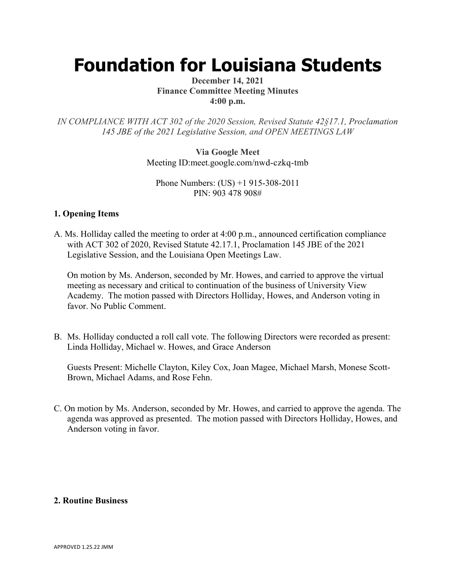# **Foundation for Louisiana Students**

#### **December 14, 2021 Finance Committee Meeting Minutes 4:00 p.m.**

*IN COMPLIANCE WITH ACT 302 of the 2020 Session, Revised Statute 42§17.1, Proclamation 145 JBE of the 2021 Legislative Session, and OPEN MEETINGS LAW*

> **Via Google Meet**  Meeting ID:meet.google.com/nwd-czkq-tmb

Phone Numbers: (US) +1 915-308-2011 PIN: 903 478 908#

### **1. Opening Items**

A. Ms. Holliday called the meeting to order at 4:00 p.m., announced certification compliance with ACT 302 of 2020, Revised Statute 42.17.1, Proclamation 145 JBE of the 2021 Legislative Session, and the Louisiana Open Meetings Law.

On motion by Ms. Anderson, seconded by Mr. Howes, and carried to approve the virtual meeting as necessary and critical to continuation of the business of University View Academy. The motion passed with Directors Holliday, Howes, and Anderson voting in favor. No Public Comment.

B. Ms. Holliday conducted a roll call vote. The following Directors were recorded as present: Linda Holliday, Michael w. Howes, and Grace Anderson

Guests Present: Michelle Clayton, Kiley Cox, Joan Magee, Michael Marsh, Monese Scott-Brown, Michael Adams, and Rose Fehn.

C. On motion by Ms. Anderson, seconded by Mr. Howes, and carried to approve the agenda. The agenda was approved as presented. The motion passed with Directors Holliday, Howes, and Anderson voting in favor.

### **2. Routine Business**